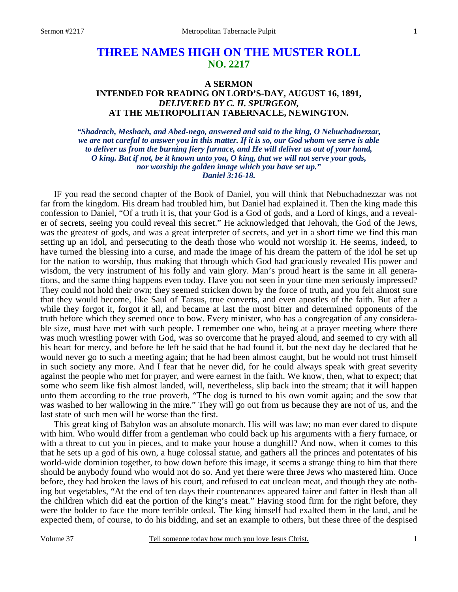# **THREE NAMES HIGH ON THE MUSTER ROLL NO. 2217**

## **A SERMON INTENDED FOR READING ON LORD'S-DAY, AUGUST 16, 1891,**  *DELIVERED BY C. H. SPURGEON,*  **AT THE METROPOLITAN TABERNACLE, NEWINGTON.**

*"Shadrach, Meshach, and Abed-nego, answered and said to the king, O Nebuchadnezzar, we are not careful to answer you in this matter. If it is so, our God whom we serve is able to deliver us from the burning fiery furnace, and He will deliver us out of your hand, O king. But if not, be it known unto you, O king, that we will not serve your gods, nor worship the golden image which you have set up." Daniel 3:16-18.* 

 IF you read the second chapter of the Book of Daniel, you will think that Nebuchadnezzar was not far from the kingdom. His dream had troubled him, but Daniel had explained it. Then the king made this confession to Daniel, "Of a truth it is, that your God is a God of gods, and a Lord of kings, and a revealer of secrets, seeing you could reveal this secret." He acknowledged that Jehovah, the God of the Jews, was the greatest of gods, and was a great interpreter of secrets, and yet in a short time we find this man setting up an idol, and persecuting to the death those who would not worship it. He seems, indeed, to have turned the blessing into a curse, and made the image of his dream the pattern of the idol he set up for the nation to worship, thus making that through which God had graciously revealed His power and wisdom, the very instrument of his folly and vain glory. Man's proud heart is the same in all generations, and the same thing happens even today. Have you not seen in your time men seriously impressed? They could not hold their own; they seemed stricken down by the force of truth, and you felt almost sure that they would become, like Saul of Tarsus, true converts, and even apostles of the faith. But after a while they forgot it, forgot it all, and became at last the most bitter and determined opponents of the truth before which they seemed once to bow. Every minister, who has a congregation of any considerable size, must have met with such people. I remember one who, being at a prayer meeting where there was much wrestling power with God, was so overcome that he prayed aloud, and seemed to cry with all his heart for mercy, and before he left he said that he had found it, but the next day he declared that he would never go to such a meeting again; that he had been almost caught, but he would not trust himself in such society any more. And I fear that he never did, for he could always speak with great severity against the people who met for prayer, and were earnest in the faith. We know, then, what to expect; that some who seem like fish almost landed, will, nevertheless, slip back into the stream; that it will happen unto them according to the true proverb, "The dog is turned to his own vomit again; and the sow that was washed to her wallowing in the mire." They will go out from us because they are not of us, and the last state of such men will be worse than the first.

 This great king of Babylon was an absolute monarch. His will was law; no man ever dared to dispute with him. Who would differ from a gentleman who could back up his arguments with a fiery furnace, or with a threat to cut you in pieces, and to make your house a dunghill? And now, when it comes to this that he sets up a god of his own, a huge colossal statue, and gathers all the princes and potentates of his world-wide dominion together, to bow down before this image, it seems a strange thing to him that there should be anybody found who would not do so. And yet there were three Jews who mastered him. Once before, they had broken the laws of his court, and refused to eat unclean meat, and though they ate nothing but vegetables, "At the end of ten days their countenances appeared fairer and fatter in flesh than all the children which did eat the portion of the king's meat." Having stood firm for the right before, they were the bolder to face the more terrible ordeal. The king himself had exalted them in the land, and he expected them, of course, to do his bidding, and set an example to others, but these three of the despised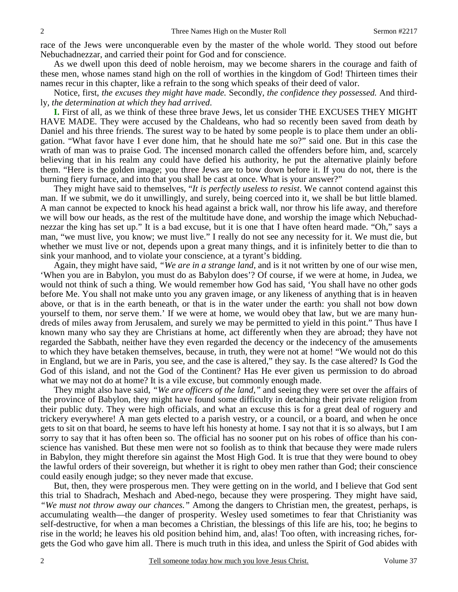race of the Jews were unconquerable even by the master of the whole world. They stood out before Nebuchadnezzar, and carried their point for God and for conscience.

 As we dwell upon this deed of noble heroism, may we become sharers in the courage and faith of these men, whose names stand high on the roll of worthies in the kingdom of God! Thirteen times their names recur in this chapter, like a refrain to the song which speaks of their deed of valor.

 Notice, first, *the excuses they might have made.* Secondly*, the confidence they possessed.* And thirdly*, the determination at which they had arrived*.

**I.** First of all, as we think of these three brave Jews, let us consider THE EXCUSES THEY MIGHT HAVE MADE. They were accused by the Chaldeans, who had so recently been saved from death by Daniel and his three friends. The surest way to be hated by some people is to place them under an obligation. "What favor have I ever done him, that he should hate me so?" said one. But in this case the wrath of man was to praise God. The incensed monarch called the offenders before him, and, scarcely believing that in his realm any could have defied his authority, he put the alternative plainly before them. "Here is the golden image; you three Jews are to bow down before it. If you do not, there is the burning fiery furnace, and into that you shall be cast at once. What is your answer?"

 They might have said to themselves, "*It is perfectly useless to resist*. We cannot contend against this man. If we submit, we do it unwillingly, and surely, being coerced into it, we shall be but little blamed. A man cannot be expected to knock his head against a brick wall, nor throw his life away, and therefore we will bow our heads, as the rest of the multitude have done, and worship the image which Nebuchadnezzar the king has set up." It is a bad excuse, but it is one that I have often heard made. "Oh," says a man, "we must live, you know; we must live." I really do not see any necessity for it. We must die, but whether we must live or not, depends upon a great many things, and it is infinitely better to die than to sink your manhood, and to violate your conscience, at a tyrant's bidding.

 Again, they might have said, *"We are in a strange land,* and is it not written by one of our wise men, 'When you are in Babylon, you must do as Babylon does'? Of course, if we were at home, in Judea, we would not think of such a thing. We would remember how God has said, 'You shall have no other gods before Me. You shall not make unto you any graven image, or any likeness of anything that is in heaven above, or that is in the earth beneath, or that is in the water under the earth: you shall not bow down yourself to them, nor serve them.' If we were at home, we would obey that law, but we are many hundreds of miles away from Jerusalem, and surely we may be permitted to yield in this point." Thus have I known many who say they are Christians at home, act differently when they are abroad; they have not regarded the Sabbath, neither have they even regarded the decency or the indecency of the amusements to which they have betaken themselves, because, in truth, they were not at home! "We would not do this in England, but we are in Paris, you see, and the case is altered," they say. Is the case altered? Is God the God of this island, and not the God of the Continent? Has He ever given us permission to do abroad what we may not do at home? It is a vile excuse, but commonly enough made.

 They might also have said, *"We are officers of the land,"* and seeing they were set over the affairs of the province of Babylon, they might have found some difficulty in detaching their private religion from their public duty. They were high officials, and what an excuse this is for a great deal of roguery and trickery everywhere! A man gets elected to a parish vestry, or a council, or a board, and when he once gets to sit on that board, he seems to have left his honesty at home. I say not that it is so always, but I am sorry to say that it has often been so. The official has no sooner put on his robes of office than his conscience has vanished. But these men were not so foolish as to think that because they were made rulers in Babylon, they might therefore sin against the Most High God. It is true that they were bound to obey the lawful orders of their sovereign, but whether it is right to obey men rather than God; their conscience could easily enough judge; so they never made that excuse.

 But, then, they were prosperous men. They were getting on in the world, and I believe that God sent this trial to Shadrach, Meshach and Abed-nego, because they were prospering. They might have said, *"We must not throw away our chances."* Among the dangers to Christian men, the greatest, perhaps, is accumulating wealth—the danger of prosperity. Wesley used sometimes to fear that Christianity was self-destructive, for when a man becomes a Christian, the blessings of this life are his, too; he begins to rise in the world; he leaves his old position behind him, and, alas! Too often, with increasing riches, forgets the God who gave him all. There is much truth in this idea, and unless the Spirit of God abides with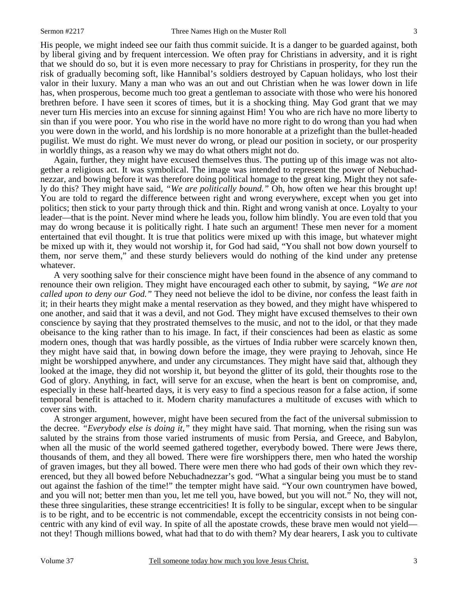His people, we might indeed see our faith thus commit suicide. It is a danger to be guarded against, both by liberal giving and by frequent intercession. We often pray for Christians in adversity, and it is right that we should do so, but it is even more necessary to pray for Christians in prosperity, for they run the risk of gradually becoming soft, like Hannibal's soldiers destroyed by Capuan holidays, who lost their valor in their luxury. Many a man who was an out and out Christian when he was lower down in life has, when prosperous, become much too great a gentleman to associate with those who were his honored brethren before. I have seen it scores of times, but it is a shocking thing. May God grant that we may never turn His mercies into an excuse for sinning against Him! You who are rich have no more liberty to sin than if you were poor. You who rise in the world have no more right to do wrong than you had when you were down in the world, and his lordship is no more honorable at a prizefight than the bullet-headed pugilist. We must do right. We must never do wrong, or plead our position in society, or our prosperity in worldly things, as a reason why we may do what others might not do.

 Again, further, they might have excused themselves thus. The putting up of this image was not altogether a religious act. It was symbolical. The image was intended to represent the power of Nebuchadnezzar, and bowing before it was therefore doing political homage to the great king. Might they not safely do this? They might have said, *"We are politically bound."* Oh, how often we hear this brought up! You are told to regard the difference between right and wrong everywhere, except when you get into politics; then stick to your party through thick and thin. Right and wrong vanish at once. Loyalty to your leader—that is the point. Never mind where he leads you, follow him blindly. You are even told that you may do wrong because it is politically right. I hate such an argument! These men never for a moment entertained that evil thought. It is true that politics were mixed up with this image, but whatever might be mixed up with it, they would not worship it, for God had said, "You shall not bow down yourself to them, nor serve them," and these sturdy believers would do nothing of the kind under any pretense whatever.

 A very soothing salve for their conscience might have been found in the absence of any command to renounce their own religion. They might have encouraged each other to submit, by saying, *"We are not called upon to deny our God."* They need not believe the idol to be divine, nor confess the least faith in it; in their hearts they might make a mental reservation as they bowed, and they might have whispered to one another, and said that it was a devil, and not God. They might have excused themselves to their own conscience by saying that they prostrated themselves to the music, and not to the idol, or that they made obeisance to the king rather than to his image. In fact, if their consciences had been as elastic as some modern ones, though that was hardly possible, as the virtues of India rubber were scarcely known then, they might have said that, in bowing down before the image, they were praying to Jehovah, since He might be worshipped anywhere, and under any circumstances. They might have said that, although they looked at the image, they did not worship it, but beyond the glitter of its gold, their thoughts rose to the God of glory. Anything, in fact, will serve for an excuse, when the heart is bent on compromise, and, especially in these half-hearted days, it is very easy to find a specious reason for a false action, if some temporal benefit is attached to it. Modern charity manufactures a multitude of excuses with which to cover sins with.

 A stronger argument, however, might have been secured from the fact of the universal submission to the decree. *"Everybody else is doing it,"* they might have said. That morning, when the rising sun was saluted by the strains from those varied instruments of music from Persia, and Greece, and Babylon, when all the music of the world seemed gathered together, everybody bowed. There were Jews there, thousands of them, and they all bowed. There were fire worshippers there, men who hated the worship of graven images, but they all bowed. There were men there who had gods of their own which they reverenced, but they all bowed before Nebuchadnezzar's god. "What a singular being you must be to stand out against the fashion of the time!" the tempter might have said. "Your own countrymen have bowed, and you will not; better men than you, let me tell you, have bowed, but you will not." No, they will not, these three singularities, these strange eccentricities! It is folly to be singular, except when to be singular is to be right, and to be eccentric is not commendable, except the eccentricity consists in not being concentric with any kind of evil way. In spite of all the apostate crowds, these brave men would not yield not they! Though millions bowed, what had that to do with them? My dear hearers, I ask you to cultivate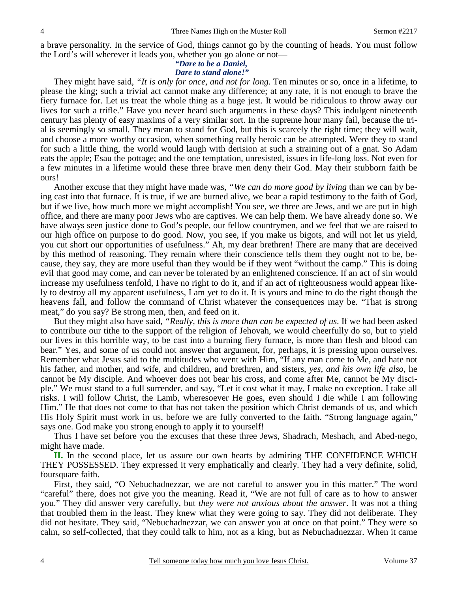a brave personality. In the service of God, things cannot go by the counting of heads. You must follow the Lord's will wherever it leads you, whether you go alone or not—

#### *"Dare to be a Daniel, Dare to stand alone!"*

They might have said, *"It is only for once, and not for long.* Ten minutes or so, once in a lifetime, to please the king; such a trivial act cannot make any difference; at any rate, it is not enough to brave the fiery furnace for. Let us treat the whole thing as a huge jest. It would be ridiculous to throw away our lives for such a trifle." Have you never heard such arguments in these days? This indulgent nineteenth century has plenty of easy maxims of a very similar sort. In the supreme hour many fail, because the trial is seemingly so small. They mean to stand for God, but this is scarcely the right time; they will wait, and choose a more worthy occasion, when something really heroic can be attempted. Were they to stand for such a little thing, the world would laugh with derision at such a straining out of a gnat. So Adam eats the apple; Esau the pottage; and the one temptation, unresisted, issues in life-long loss. Not even for a few minutes in a lifetime would these three brave men deny their God. May their stubborn faith be ours!

 Another excuse that they might have made was, *"We can do more good by living* than we can by being cast into that furnace. It is true, if we are burned alive, we bear a rapid testimony to the faith of God, but if we live, how much more we might accomplish! You see, we three are Jews, and we are put in high office, and there are many poor Jews who are captives. We can help them. We have already done so. We have always seen justice done to God's people, our fellow countrymen, and we feel that we are raised to our high office on purpose to do good. Now, you see, if you make us bigots, and will not let us yield, you cut short our opportunities of usefulness." Ah, my dear brethren! There are many that are deceived by this method of reasoning. They remain where their conscience tells them they ought not to be, because, they say, they are more useful than they would be if they went "without the camp." This is doing evil that good may come, and can never be tolerated by an enlightened conscience. If an act of sin would increase my usefulness tenfold, I have no right to do it, and if an act of righteousness would appear likely to destroy all my apparent usefulness, I am yet to do it. It is yours and mine to do the right though the heavens fall, and follow the command of Christ whatever the consequences may be. "That is strong meat," do you say? Be strong men, then, and feed on it.

 But they might also have said, *"Really, this is more than can be expected of us*. If we had been asked to contribute our tithe to the support of the religion of Jehovah, we would cheerfully do so, but to yield our lives in this horrible way, to be cast into a burning fiery furnace, is more than flesh and blood can bear." Yes, and some of us could not answer that argument, for, perhaps, it is pressing upon ourselves. Remember what Jesus said to the multitudes who went with Him, "If any man come to Me, and hate not his father, and mother, and wife, and children, and brethren, and sisters, *yes, and his own life also,* he cannot be My disciple. And whoever does not bear his cross, and come after Me, cannot be My disciple." We must stand to a full surrender, and say, "Let it cost what it may, I make no exception. I take all risks. I will follow Christ, the Lamb, wheresoever He goes, even should I die while I am following Him." He that does not come to that has not taken the position which Christ demands of us, and which His Holy Spirit must work in us, before we are fully converted to the faith. "Strong language again," says one. God make you strong enough to apply it to yourself!

 Thus I have set before you the excuses that these three Jews, Shadrach, Meshach, and Abed-nego, might have made.

**II.** In the second place, let us assure our own hearts by admiring THE CONFIDENCE WHICH THEY POSSESSED. They expressed it very emphatically and clearly. They had a very definite, solid, foursquare faith.

 First, they said, "O Nebuchadnezzar, we are not careful to answer you in this matter." The word "careful" there, does not give you the meaning. Read it, "We are not full of care as to how to answer you." They did answer very carefully, but *they were not anxious about the answer*. It was not a thing that troubled them in the least. They knew what they were going to say. They did not deliberate. They did not hesitate. They said, "Nebuchadnezzar, we can answer you at once on that point." They were so calm, so self-collected, that they could talk to him, not as a king, but as Nebuchadnezzar. When it came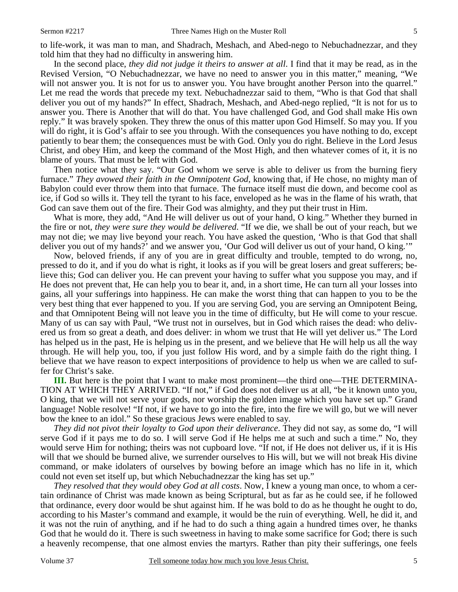to life-work, it was man to man, and Shadrach, Meshach, and Abed-nego to Nebuchadnezzar, and they told him that they had no difficulty in answering him.

 In the second place, *they did not judge it theirs to answer at all*. I find that it may be read, as in the Revised Version, "O Nebuchadnezzar, we have no need to answer you in this matter," meaning, "We will not answer you. It is not for us to answer you. You have brought another Person into the quarrel." Let me read the words that precede my text. Nebuchadnezzar said to them, "Who is that God that shall deliver you out of my hands?" In effect, Shadrach, Meshach, and Abed-nego replied, "It is not for us to answer you. There is Another that will do that. You have challenged God, and God shall make His own reply." It was bravely spoken. They threw the onus of this matter upon God Himself. So may you. If you will do right, it is God's affair to see you through. With the consequences you have nothing to do, except patiently to bear them; the consequences must be with God. Only you do right. Believe in the Lord Jesus Christ, and obey Him, and keep the command of the Most High, and then whatever comes of it, it is no blame of yours. That must be left with God.

 Then notice what they say. "Our God whom we serve is able to deliver us from the burning fiery furnace." *They avowed their faith in the Omnipotent God,* knowing that, if He chose, no mighty man of Babylon could ever throw them into that furnace. The furnace itself must die down, and become cool as ice, if God so wills it. They tell the tyrant to his face, enveloped as he was in the flame of his wrath, that God can save them out of the fire. Their God was almighty, and they put their trust in Him.

 What is more, they add, "And He will deliver us out of your hand, O king." Whether they burned in the fire or not, *they were sure they would be delivered*. "If we die, we shall be out of your reach, but we may not die; we may live beyond your reach. You have asked the question, 'Who is that God that shall deliver you out of my hands?' and we answer you, 'Our God will deliver us out of your hand, O king.'"

 Now, beloved friends, if any of you are in great difficulty and trouble, tempted to do wrong, no, pressed to do it, and if you do what is right, it looks as if you will be great losers and great sufferers; believe this; God can deliver you. He can prevent your having to suffer what you suppose you may, and if He does not prevent that, He can help you to bear it, and, in a short time, He can turn all your losses into gains, all your sufferings into happiness. He can make the worst thing that can happen to you to be the very best thing that ever happened to you. If you are serving God, you are serving an Omnipotent Being, and that Omnipotent Being will not leave you in the time of difficulty, but He will come to your rescue. Many of us can say with Paul, "We trust not in ourselves, but in God which raises the dead: who delivered us from so great a death, and does deliver: in whom we trust that He will yet deliver us." The Lord has helped us in the past, He is helping us in the present, and we believe that He will help us all the way through. He will help you, too, if you just follow His word, and by a simple faith do the right thing. I believe that we have reason to expect interpositions of providence to help us when we are called to suffer for Christ's sake.

**III.** But here is the point that I want to make most prominent—the third one—THE DETERMINA-TION AT WHICH THEY ARRIVED. "If not," if God does not deliver us at all, "be it known unto you, O king, that we will not serve your gods, nor worship the golden image which you have set up." Grand language! Noble resolve! "If not, if we have to go into the fire, into the fire we will go, but we will never bow the knee to an idol." So these gracious Jews were enabled to say.

*They did not pivot their loyalty to God upon their deliverance*. They did not say, as some do, "I will serve God if it pays me to do so. I will serve God if He helps me at such and such a time." No, they would serve Him for nothing; theirs was not cupboard love. "If not, if He does not deliver us, if it is His will that we should be burned alive, we surrender ourselves to His will, but we will not break His divine command, or make idolaters of ourselves by bowing before an image which has no life in it, which could not even set itself up, but which Nebuchadnezzar the king has set up."

*They resolved that they would obey God at all costs*. Now, I knew a young man once, to whom a certain ordinance of Christ was made known as being Scriptural, but as far as he could see, if he followed that ordinance, every door would be shut against him. If he was bold to do as he thought he ought to do, according to his Master's command and example, it would be the ruin of everything. Well, he did it, and it was not the ruin of anything, and if he had to do such a thing again a hundred times over, he thanks God that he would do it. There is such sweetness in having to make some sacrifice for God; there is such a heavenly recompense, that one almost envies the martyrs. Rather than pity their sufferings, one feels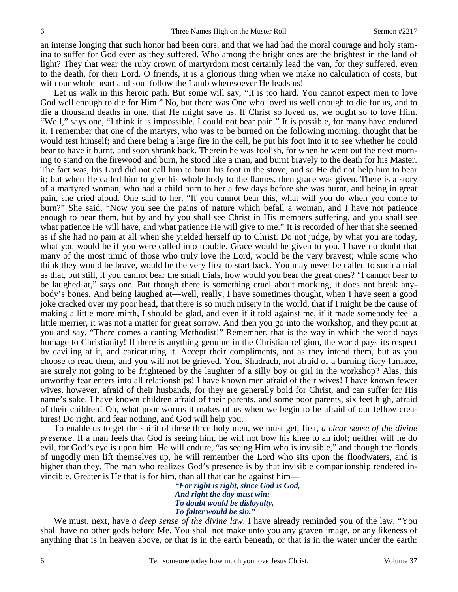an intense longing that such honor had been ours, and that we had had the moral courage and holy stamina to suffer for God even as they suffered. Who among the bright ones are the brightest in the land of light? They that wear the ruby crown of martyrdom most certainly lead the van, for they suffered, even to the death, for their Lord. O friends, it is a glorious thing when we make no calculation of costs, but with our whole heart and soul follow the Lamb wheresoever He leads us!

 Let us walk in this heroic path. But some will say, "It is too hard. You cannot expect men to love God well enough to die for Him." No, but there was One who loved us well enough to die for us, and to die a thousand deaths in one, that He might save us. If Christ so loved us, we ought so to love Him. "Well," says one, "I think it is impossible. I could not bear pain." It is possible, for many have endured it. I remember that one of the martyrs, who was to be burned on the following morning, thought that he would test himself; and there being a large fire in the cell, he put his foot into it to see whether he could bear to have it burnt, and soon shrank back. Therein he was foolish, for when he went out the next morning to stand on the firewood and burn, he stood like a man, and burnt bravely to the death for his Master. The fact was, his Lord did not call him to burn his foot in the stove, and so He did not help him to bear it; but when He called him to give his whole body to the flames, then grace was given. There is a story of a martyred woman, who had a child born to her a few days before she was burnt, and being in great pain, she cried aloud. One said to her, "If you cannot bear this, what will you do when you come to burn?" She said, "Now you see the pains of nature which befall a woman, and I have not patience enough to bear them, but by and by you shall see Christ in His members suffering, and you shall see what patience He will have, and what patience He will give to me." It is recorded of her that she seemed as if she had no pain at all when she yielded herself up to Christ. Do not judge, by what you are today, what you would be if you were called into trouble. Grace would be given to you. I have no doubt that many of the most timid of those who truly love the Lord, would be the very bravest; while some who think they would be brave, would be the very first to start back. You may never be called to such a trial as that, but still, if you cannot bear the small trials, how would you bear the great ones? "I cannot bear to be laughed at," says one. But though there is something cruel about mocking, it does not break anybody's bones. And being laughed at—well, really, I have sometimes thought, when I have seen a good joke cracked over my poor head, that there is so much misery in the world, that if I might be the cause of making a little more mirth, I should be glad, and even if it told against me, if it made somebody feel a little merrier, it was not a matter for great sorrow. And then you go into the workshop, and they point at you and say, "There comes a canting Methodist!" Remember, that is the way in which the world pays homage to Christianity! If there is anything genuine in the Christian religion, the world pays its respect by caviling at it, and caricaturing it. Accept their compliments, not as they intend them, but as you choose to read them, and you will not be grieved. You, Shadrach, not afraid of a burning fiery furnace, are surely not going to be frightened by the laughter of a silly boy or girl in the workshop? Alas, this unworthy fear enters into all relationships! I have known men afraid of their wives! I have known fewer wives, however, afraid of their husbands, for they are generally bold for Christ, and can suffer for His name's sake. I have known children afraid of their parents, and some poor parents, six feet high, afraid of their children! Oh, what poor worms it makes of us when we begin to be afraid of our fellow creatures! Do right, and fear nothing, and God will help you.

 To enable us to get the spirit of these three holy men, we must get, first, *a clear sense of the divine presence*. If a man feels that God is seeing him, he will not bow his knee to an idol; neither will he do evil, for God's eye is upon him. He will endure, "as seeing Him who is invisible," and though the floods of ungodly men lift themselves up, he will remember the Lord who sits upon the floodwaters, and is higher than they. The man who realizes God's presence is by that invisible companionship rendered invincible. Greater is He that is for him, than all that can be against him—

> *"For right is right, since God is God, And right the day must win; To doubt would be disloyalty, To falter would be sin."*

We must, next, have *a deep sense of the divine law*. I have already reminded you of the law. "You shall have no other gods before Me. You shall not make unto you any graven image, or any likeness of anything that is in heaven above, or that is in the earth beneath, or that is in the water under the earth: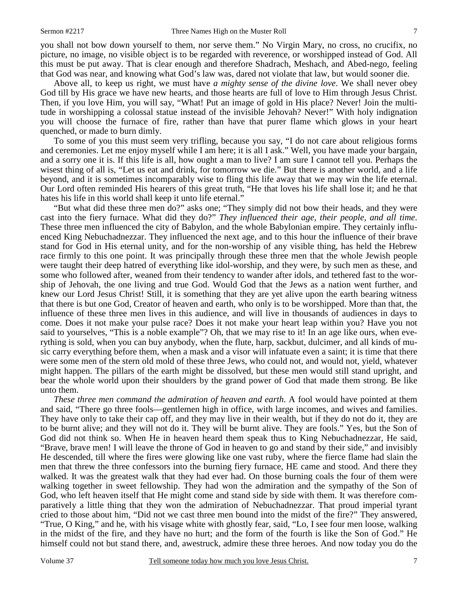you shall not bow down yourself to them, nor serve them." No Virgin Mary, no cross, no crucifix, no picture, no image, no visible object is to be regarded with reverence, or worshipped instead of God. All this must be put away. That is clear enough and therefore Shadrach, Meshach, and Abed-nego, feeling that God was near, and knowing what God's law was, dared not violate that law, but would sooner die.

 Above all, to keep us right, we must have *a mighty sense of the divine love*. We shall never obey God till by His grace we have new hearts, and those hearts are full of love to Him through Jesus Christ. Then, if you love Him, you will say, "What! Put an image of gold in His place? Never! Join the multitude in worshipping a colossal statue instead of the invisible Jehovah? Never!" With holy indignation you will choose the furnace of fire, rather than have that purer flame which glows in your heart quenched, or made to burn dimly.

 To some of you this must seem very trifling, because you say, "I do not care about religious forms and ceremonies. Let me enjoy myself while I am here; it is all I ask." Well, you have made your bargain, and a sorry one it is. If this life is all, how ought a man to live? I am sure I cannot tell you. Perhaps the wisest thing of all is, "Let us eat and drink, for tomorrow we die." But there is another world, and a life beyond, and it is sometimes incomparably wise to fling this life away that we may win the life eternal. Our Lord often reminded His hearers of this great truth, "He that loves his life shall lose it; and he that hates his life in this world shall keep it unto life eternal."

 "But what did these three men do?" asks one; "They simply did not bow their heads, and they were cast into the fiery furnace. What did they do?" *They influenced their age, their people, and all time*. These three men influenced the city of Babylon, and the whole Babylonian empire. They certainly influenced King Nebuchadnezzar. They influenced the next age, and to this hour the influence of their brave stand for God in His eternal unity, and for the non-worship of any visible thing, has held the Hebrew race firmly to this one point. It was principally through these three men that the whole Jewish people were taught their deep hatred of everything like idol-worship, and they were, by such men as these, and some who followed after, weaned from their tendency to wander after idols, and tethered fast to the worship of Jehovah, the one living and true God. Would God that the Jews as a nation went further, and knew our Lord Jesus Christ! Still, it is something that they are yet alive upon the earth bearing witness that there is but one God, Creator of heaven and earth, who only is to be worshipped. More than that, the influence of these three men lives in this audience, and will live in thousands of audiences in days to come. Does it not make your pulse race? Does it not make your heart leap within you? Have you not said to yourselves, "This is a noble example"? Oh, that we may rise to it! In an age like ours, when everything is sold, when you can buy anybody, when the flute, harp, sackbut, dulcimer, and all kinds of music carry everything before them, when a mask and a visor will infatuate even a saint; it is time that there were some men of the stern old mold of these three Jews, who could not, and would not, yield, whatever might happen. The pillars of the earth might be dissolved, but these men would still stand upright, and bear the whole world upon their shoulders by the grand power of God that made them strong. Be like unto them.

*These three men command the admiration of heaven and earth*. A fool would have pointed at them and said, "There go three fools—gentlemen high in office, with large incomes, and wives and families. They have only to take their cap off, and they may live in their wealth, but if they do not do it, they are to be burnt alive; and they will not do it. They will be burnt alive. They are fools." Yes, but the Son of God did not think so. When He in heaven heard them speak thus to King Nebuchadnezzar, He said, "Brave, brave men! I will leave the throne of God in heaven to go and stand by their side," and invisibly He descended, till where the fires were glowing like one vast ruby, where the fierce flame had slain the men that threw the three confessors into the burning fiery furnace, HE came and stood. And there they walked. It was the greatest walk that they had ever had. On those burning coals the four of them were walking together in sweet fellowship. They had won the admiration and the sympathy of the Son of God, who left heaven itself that He might come and stand side by side with them. It was therefore comparatively a little thing that they won the admiration of Nebuchadnezzar. That proud imperial tyrant cried to those about him, "Did not we cast three men bound into the midst of the fire?" They answered, "True, O King," and he, with his visage white with ghostly fear, said, "Lo, I see four men loose, walking in the midst of the fire, and they have no hurt; and the form of the fourth is like the Son of God." He himself could not but stand there, and, awestruck, admire these three heroes. And now today you do the